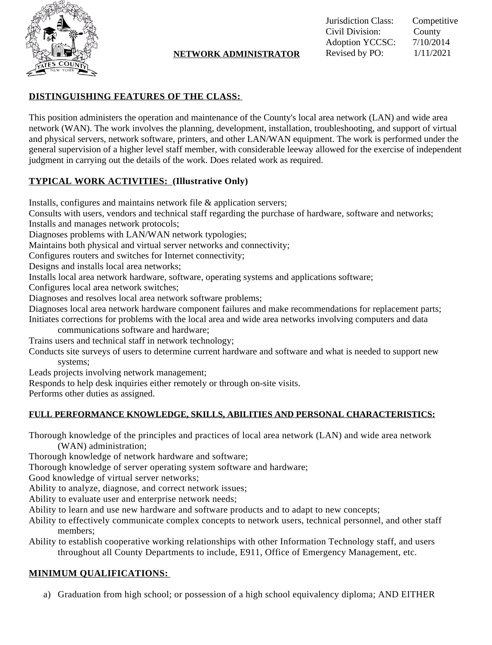

#### **NETWORK ADMINISTRATOR** Revised by PO:  $1/11/2021$

Jurisdiction Class: Competitive Civil Division: County<br>Adoption YCCSC: 7/10/2014 Adoption YCCSC:<br>Revised by PO:

## **DISTINGUISHING FEATURES OF THE CLASS:**

This position administers the operation and maintenance of the County's local area network (LAN) and wide area network (WAN). The work involves the planning, development, installation, troubleshooting, and support of virtual and physical servers, network software, printers, and other LAN/WAN equipment. The work is performed under the general supervision of a higher level staff member, with considerable leeway allowed for the exercise of independent judgment in carrying out the details of the work. Does related work as required.

# **TYPICAL WORK ACTIVITIES: (Illustrative Only)**

Installs, configures and maintains network file & application servers;

Consults with users, vendors and technical staff regarding the purchase of hardware, software and networks; Installs and manages network protocols;

Diagnoses problems with LAN/WAN network typologies;

Maintains both physical and virtual server networks and connectivity;

Configures routers and switches for Internet connectivity;

Designs and installs local area networks;

Installs local area network hardware, software, operating systems and applications software;

Configures local area network switches;

Diagnoses and resolves local area network software problems;

Diagnoses local area network hardware component failures and make recommendations for replacement parts; Initiates corrections for problems with the local area and wide area networks involving computers and data

communications software and hardware;

Trains users and technical staff in network technology;

Conducts site surveys of users to determine current hardware and software and what is needed to support new systems;

Leads projects involving network management;

Responds to help desk inquiries either remotely or through on-site visits.

Performs other duties as assigned.

## **FULL PERFORMANCE KNOWLEDGE, SKILLS, ABILITIES AND PERSONAL CHARACTERISTICS:**

Thorough knowledge of the principles and practices of local area network (LAN) and wide area network (WAN) administration;

Thorough knowledge of network hardware and software;

Thorough knowledge of server operating system software and hardware;

Good knowledge of virtual server networks;

Ability to analyze, diagnose, and correct network issues;

Ability to evaluate user and enterprise network needs;

Ability to learn and use new hardware and software products and to adapt to new concepts;

- Ability to effectively communicate complex concepts to network users, technical personnel, and other staff members;
- Ability to establish cooperative working relationships with other Information Technology staff, and users throughout all County Departments to include, E911, Office of Emergency Management, etc.

# **MINIMUM QUALIFICATIONS:**

a) Graduation from high school; or possession of a high school equivalency diploma; AND EITHER